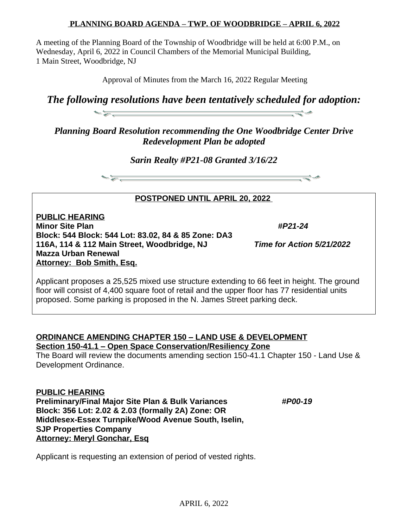## **PLANNING BOARD AGENDA – TWP. OF WOODBRIDGE – APRIL 6, 2022**

A meeting of the Planning Board of the Township of Woodbridge will be held at 6:00 P.M., on Wednesday, April 6, 2022 in Council Chambers of the Memorial Municipal Building, 1 Main Street, Woodbridge, NJ

Approval of Minutes from the March 16, 2022 Regular Meeting

*The following resolutions have been tentatively scheduled for adoption:* -52

*Planning Board Resolution recommending the One Woodbridge Center Drive Redevelopment Plan be adopted*

*Sarin Realty #P21-08 Granted 3/16/22*



**POSTPONED UNTIL APRIL 20, 2022** 

**PUBLIC HEARING Minor Site Plan** *#P21-24* **Block: 544 Block: 544 Lot: 83.02, 84 & 85 Zone: DA3 116A, 114 & 112 Main Street, Woodbridge, NJ** *Time for Action 5/21/2022* **Mazza Urban Renewal Attorney: Bob Smith, Esq.**

Applicant proposes a 25,525 mixed use structure extending to 66 feet in height. The ground floor will consist of 4,400 square foot of retail and the upper floor has 77 residential units proposed. Some parking is proposed in the N. James Street parking deck.

## **ORDINANCE AMENDING CHAPTER 150 – LAND USE & DEVELOPMENT Section 150-41.1 – Open Space Conservation/Resiliency Zone**

The Board will review the documents amending section 150-41.1 Chapter 150 - Land Use & Development Ordinance.

**PUBLIC HEARING**

**Preliminary/Final Major Site Plan & Bulk Variances** *#P00-19* **Block: 356 Lot: 2.02 & 2.03 (formally 2A) Zone: OR Middlesex-Essex Turnpike/Wood Avenue South, Iselin, SJP Properties Company Attorney: Meryl Gonchar, Esq**

Applicant is requesting an extension of period of vested rights.